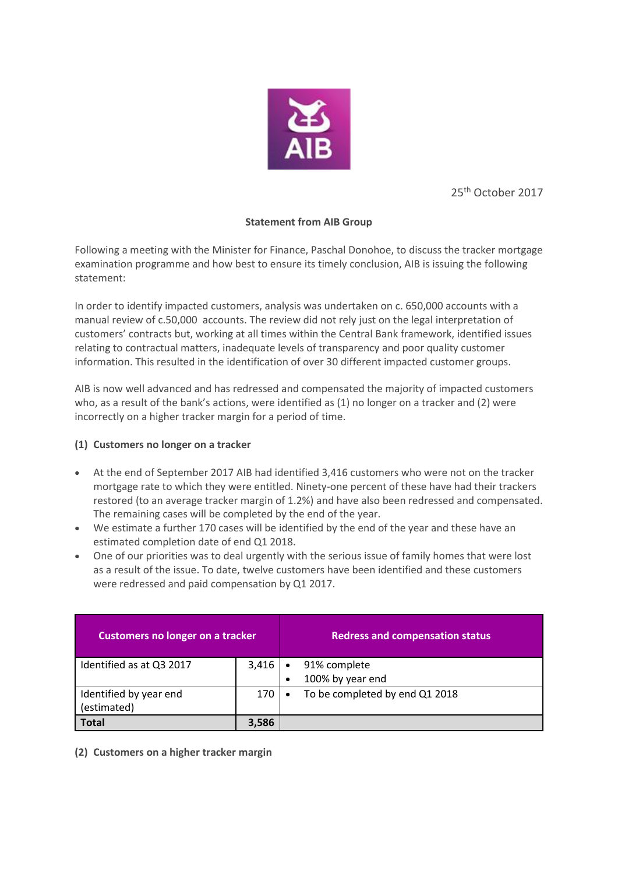

25th October 2017

### **Statement from AIB Group**

Following a meeting with the Minister for Finance, Paschal Donohoe, to discuss the tracker mortgage examination programme and how best to ensure its timely conclusion, AIB is issuing the following statement:

In order to identify impacted customers, analysis was undertaken on c. 650,000 accounts with a manual review of c.50,000 accounts. The review did not rely just on the legal interpretation of customers' contracts but, working at all times within the Central Bank framework, identified issues relating to contractual matters, inadequate levels of transparency and poor quality customer information. This resulted in the identification of over 30 different impacted customer groups.

AIB is now well advanced and has redressed and compensated the majority of impacted customers who, as a result of the bank's actions, were identified as (1) no longer on a tracker and (2) were incorrectly on a higher tracker margin for a period of time.

## **(1) Customers no longer on a tracker**

- At the end of September 2017 AIB had identified 3,416 customers who were not on the tracker mortgage rate to which they were entitled. Ninety-one percent of these have had their trackers restored (to an average tracker margin of 1.2%) and have also been redressed and compensated. The remaining cases will be completed by the end of the year.
- We estimate a further 170 cases will be identified by the end of the year and these have an estimated completion date of end Q1 2018.
- One of our priorities was to deal urgently with the serious issue of family homes that were lost as a result of the issue. To date, twelve customers have been identified and these customers were redressed and paid compensation by Q1 2017.

| <b>Customers no longer on a tracker</b> |       | <b>Redress and compensation status</b> |
|-----------------------------------------|-------|----------------------------------------|
| Identified as at Q3 2017                | 3,416 | 91% complete                           |
|                                         |       | 100% by year end<br>$\bullet$          |
| Identified by year end                  | 170   | To be completed by end Q1 2018         |
| (estimated)                             |       |                                        |
| <b>Total</b>                            | 3.586 |                                        |

**(2) Customers on a higher tracker margin**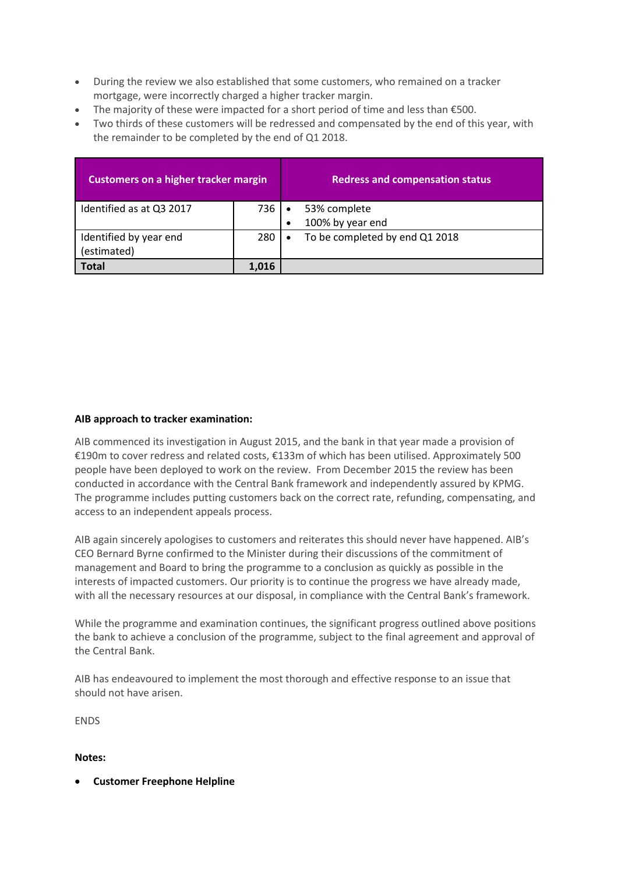- During the review we also established that some customers, who remained on a tracker mortgage, were incorrectly charged a higher tracker margin.
- The majority of these were impacted for a short period of time and less than  $\epsilon$ 500.
- Two thirds of these customers will be redressed and compensated by the end of this year, with the remainder to be completed by the end of Q1 2018.

| <b>Customers on a higher tracker margin</b> |       | <b>Redress and compensation status</b>      |
|---------------------------------------------|-------|---------------------------------------------|
| Identified as at Q3 2017                    | 736   | 53% complete                                |
|                                             |       | 100% by year end<br>٠                       |
| Identified by year end                      | 280 I | To be completed by end Q1 2018<br>$\bullet$ |
| (estimated)                                 |       |                                             |
| <b>Total</b>                                | 1.016 |                                             |

### **AIB approach to tracker examination:**

AIB commenced its investigation in August 2015, and the bank in that year made a provision of €190m to cover redress and related costs, €133m of which has been utilised. Approximately 500 people have been deployed to work on the review. From December 2015 the review has been conducted in accordance with the Central Bank framework and independently assured by KPMG. The programme includes putting customers back on the correct rate, refunding, compensating, and access to an independent appeals process.

AIB again sincerely apologises to customers and reiterates this should never have happened. AIB's CEO Bernard Byrne confirmed to the Minister during their discussions of the commitment of management and Board to bring the programme to a conclusion as quickly as possible in the interests of impacted customers. Our priority is to continue the progress we have already made, with all the necessary resources at our disposal, in compliance with the Central Bank's framework.

While the programme and examination continues, the significant progress outlined above positions the bank to achieve a conclusion of the programme, subject to the final agreement and approval of the Central Bank.

AIB has endeavoured to implement the most thorough and effective response to an issue that should not have arisen.

**FNDS** 

#### **Notes:**

**Customer Freephone Helpline**